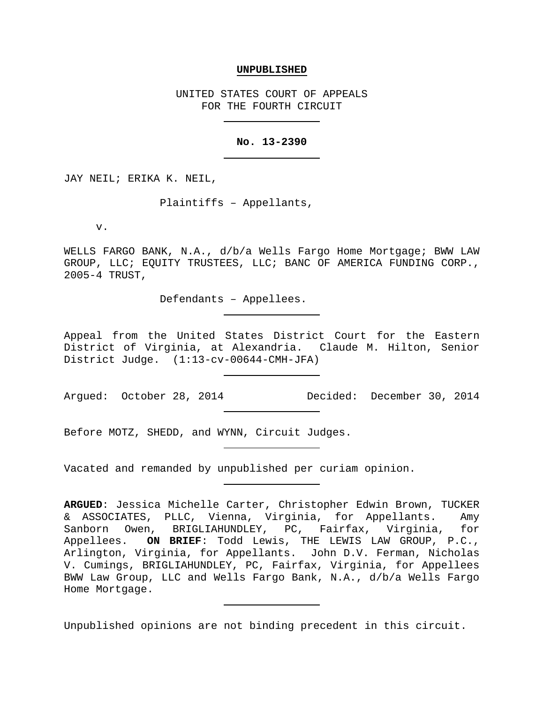## **UNPUBLISHED**

UNITED STATES COURT OF APPEALS FOR THE FOURTH CIRCUIT

## **No. 13-2390**

JAY NEIL; ERIKA K. NEIL,

Plaintiffs – Appellants,

v.

WELLS FARGO BANK, N.A., d/b/a Wells Fargo Home Mortgage; BWW LAW GROUP, LLC; EQUITY TRUSTEES, LLC; BANC OF AMERICA FUNDING CORP., 2005-4 TRUST,

Defendants – Appellees.

Appeal from the United States District Court for the Eastern District of Virginia, at Alexandria. Claude M. Hilton, Senior District Judge. (1:13-cv-00644-CMH-JFA)

Argued: October 28, 2014 Decided: December 30, 2014

Before MOTZ, SHEDD, and WYNN, Circuit Judges.

Vacated and remanded by unpublished per curiam opinion.

Unpublished opinions are not binding precedent in this circuit.

**ARGUED**: Jessica Michelle Carter, Christopher Edwin Brown, TUCKER & ASSOCIATES, PLLC, Vienna, Virginia, for Appellants. Amy Sanborn Owen, BRIGLIAHUNDLEY, PC, Fairfax, Virginia, for Appellees. **ON BRIEF**: Todd Lewis, THE LEWIS LAW GROUP, P.C., Arlington, Virginia, for Appellants. John D.V. Ferman, Nicholas V. Cumings, BRIGLIAHUNDLEY, PC, Fairfax, Virginia, for Appellees BWW Law Group, LLC and Wells Fargo Bank, N.A., d/b/a Wells Fargo Home Mortgage.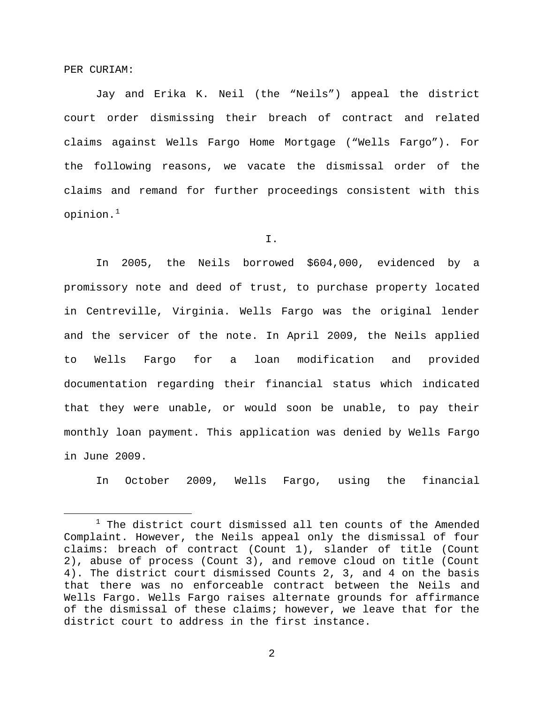PER CURIAM:

Jay and Erika K. Neil (the "Neils") appeal the district court order dismissing their breach of contract and related claims against Wells Fargo Home Mortgage ("Wells Fargo"). For the following reasons, we vacate the dismissal order of the claims and remand for further proceedings consistent with this opinion.[1](#page-1-0)

I.

In 2005, the Neils borrowed \$604,000, evidenced by a promissory note and deed of trust, to purchase property located in Centreville, Virginia. Wells Fargo was the original lender and the servicer of the note. In April 2009, the Neils applied to Wells Fargo for a loan modification and provided documentation regarding their financial status which indicated that they were unable, or would soon be unable, to pay their monthly loan payment. This application was denied by Wells Fargo in June 2009.

In October 2009, Wells Fargo, using the financial

<span id="page-1-0"></span> $1$  The district court dismissed all ten counts of the Amended Complaint. However, the Neils appeal only the dismissal of four claims: breach of contract (Count 1), slander of title (Count 2), abuse of process (Count 3), and remove cloud on title (Count 4). The district court dismissed Counts 2, 3, and 4 on the basis that there was no enforceable contract between the Neils and Wells Fargo. Wells Fargo raises alternate grounds for affirmance of the dismissal of these claims; however, we leave that for the district court to address in the first instance.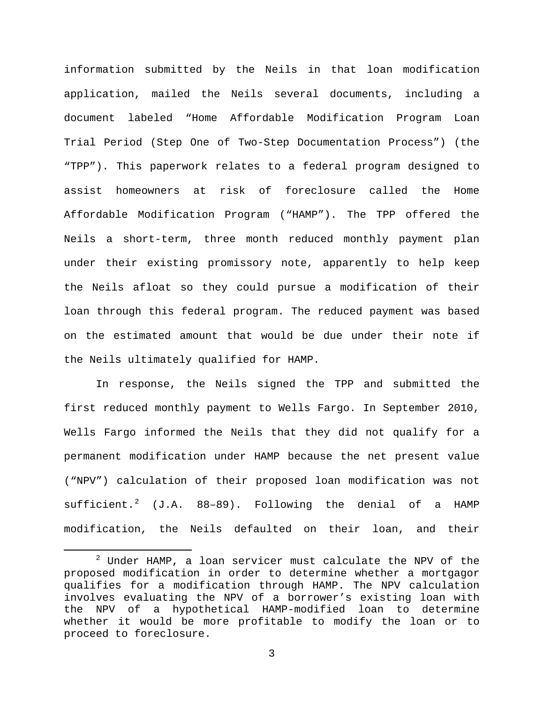information submitted by the Neils in that loan modification application, mailed the Neils several documents, including a document labeled "Home Affordable Modification Program Loan Trial Period (Step One of Two-Step Documentation Process") (the "TPP"). This paperwork relates to a federal program designed to assist homeowners at risk of foreclosure called the Home Affordable Modification Program ("HAMP"). The TPP offered the Neils a short-term, three month reduced monthly payment plan under their existing promissory note, apparently to help keep the Neils afloat so they could pursue a modification of their loan through this federal program. The reduced payment was based on the estimated amount that would be due under their note if the Neils ultimately qualified for HAMP.

In response, the Neils signed the TPP and submitted the first reduced monthly payment to Wells Fargo. In September 2010, Wells Fargo informed the Neils that they did not qualify for a permanent modification under HAMP because the net present value ("NPV") calculation of their proposed loan modification was not  $sufficient.<sup>2</sup>$  $sufficient.<sup>2</sup>$  $sufficient.<sup>2</sup>$  (J.A. 88-89). Following the denial of a HAMP modification, the Neils defaulted on their loan, and their

<span id="page-2-0"></span> $2$  Under HAMP, a loan servicer must calculate the NPV of the proposed modification in order to determine whether a mortgagor qualifies for a modification through HAMP. The NPV calculation involves evaluating the NPV of a borrower's existing loan with the NPV of a hypothetical HAMP-modified loan to determine whether it would be more profitable to modify the loan or to proceed to foreclosure.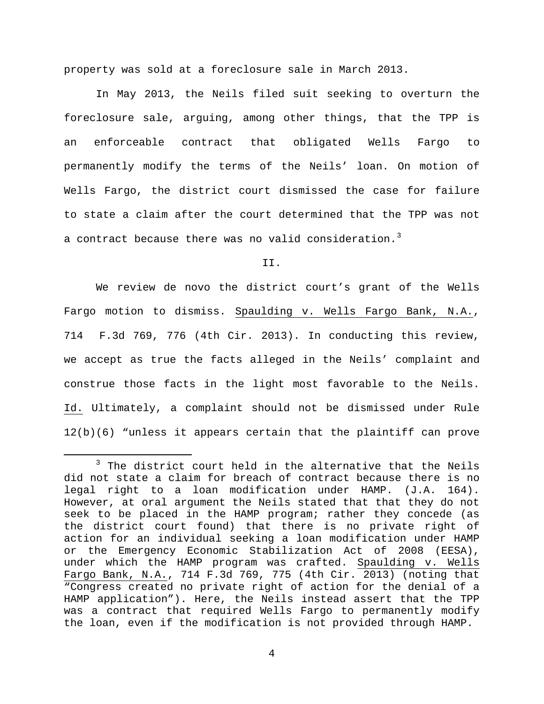property was sold at a foreclosure sale in March 2013.

In May 2013, the Neils filed suit seeking to overturn the foreclosure sale, arguing, among other things, that the TPP is an enforceable contract that obligated Wells Fargo to permanently modify the terms of the Neils' loan. On motion of Wells Fargo, the district court dismissed the case for failure to state a claim after the court determined that the TPP was not a contract because there was no valid consideration.<sup>[3](#page-3-0)</sup>

## II.

We review de novo the district court's grant of the Wells Fargo motion to dismiss. Spaulding v. Wells Fargo Bank, N.A., 714 F.3d 769, 776 (4th Cir. 2013). In conducting this review, we accept as true the facts alleged in the Neils' complaint and construe those facts in the light most favorable to the Neils. Id. Ultimately, a complaint should not be dismissed under Rule 12(b)(6) "unless it appears certain that the plaintiff can prove

<span id="page-3-0"></span><sup>&</sup>lt;sup>3</sup> The district court held in the alternative that the Neils did not state a claim for breach of contract because there is no legal right to a loan modification under HAMP. (J.A. 164). However, at oral argument the Neils stated that that they do not seek to be placed in the HAMP program; rather they concede (as the district court found) that there is no private right of action for an individual seeking a loan modification under HAMP or the Emergency Economic Stabilization Act of 2008 (EESA), under which the HAMP program was crafted. Spaulding v. Wells Fargo Bank, N.A., 714 F.3d 769, 775 (4th Cir. 2013) (noting that "Congress created no private right of action for the denial of a HAMP application"). Here, the Neils instead assert that the TPP was a contract that required Wells Fargo to permanently modify the loan, even if the modification is not provided through HAMP.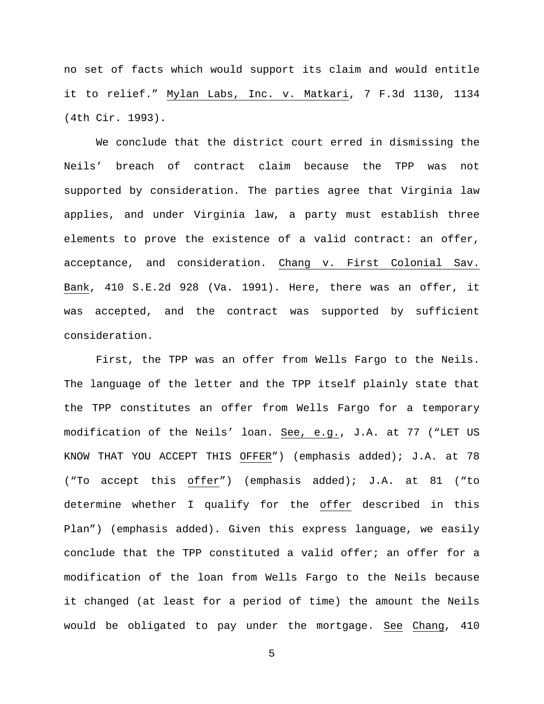no set of facts which would support its claim and would entitle it to relief." Mylan Labs, Inc. v. Matkari, 7 F.3d 1130, 1134 (4th Cir. 1993).

We conclude that the district court erred in dismissing the Neils' breach of contract claim because the TPP was not supported by consideration. The parties agree that Virginia law applies, and under Virginia law, a party must establish three elements to prove the existence of a valid contract: an offer, acceptance, and consideration. Chang v. First Colonial Sav. Bank, 410 S.E.2d 928 (Va. 1991). Here, there was an offer, it was accepted, and the contract was supported by sufficient consideration.

First, the TPP was an offer from Wells Fargo to the Neils. The language of the letter and the TPP itself plainly state that the TPP constitutes an offer from Wells Fargo for a temporary modification of the Neils' loan. See, e.g., J.A. at 77 ("LET US KNOW THAT YOU ACCEPT THIS OFFER") (emphasis added); J.A. at 78 ("To accept this offer") (emphasis added); J.A. at 81 ("to determine whether I qualify for the offer described in this Plan") (emphasis added). Given this express language, we easily conclude that the TPP constituted a valid offer; an offer for a modification of the loan from Wells Fargo to the Neils because it changed (at least for a period of time) the amount the Neils would be obligated to pay under the mortgage. See Chang, 410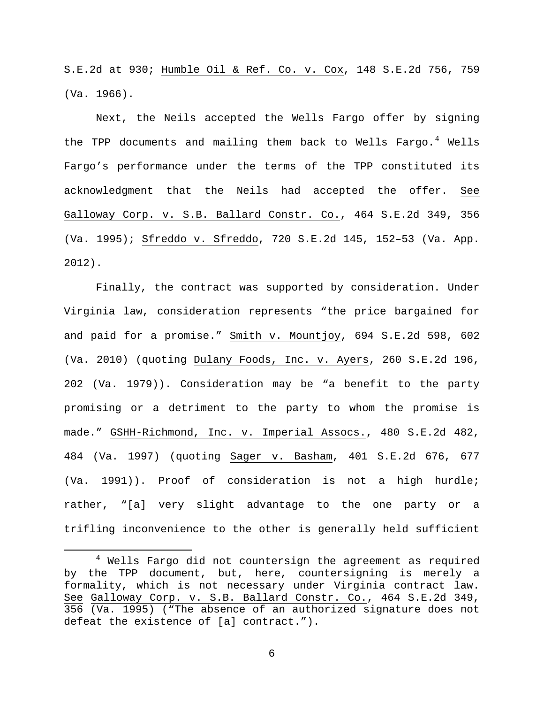S.E.2d at 930; Humble Oil & Ref. Co. v. Cox, 148 S.E.2d 756, 759 (Va. 1966).

Next, the Neils accepted the Wells Fargo offer by signing the TPP documents and mailing them back to Wells Fargo.<sup>[4](#page-5-0)</sup> Wells Fargo's performance under the terms of the TPP constituted its acknowledgment that the Neils had accepted the offer. See Galloway Corp. v. S.B. Ballard Constr. Co., 464 S.E.2d 349, 356 (Va. 1995); Sfreddo v. Sfreddo, 720 S.E.2d 145, 152–53 (Va. App. 2012).

Finally, the contract was supported by consideration. Under Virginia law, consideration represents "the price bargained for and paid for a promise." Smith v. Mountjoy, 694 S.E.2d 598, 602 (Va. 2010) (quoting Dulany Foods, Inc. v. Ayers, 260 S.E.2d 196, 202 (Va. 1979)). Consideration may be "a benefit to the party promising or a detriment to the party to whom the promise is made." GSHH-Richmond, Inc. v. Imperial Assocs., 480 S.E.2d 482, 484 (Va. 1997) (quoting Sager v. Basham, 401 S.E.2d 676, 677 (Va. 1991)). Proof of consideration is not a high hurdle; rather, "[a] very slight advantage to the one party or a trifling inconvenience to the other is generally held sufficient

<span id="page-5-0"></span> <sup>4</sup> Wells Fargo did not countersign the agreement as required by the TPP document, but, here, countersigning is merely a formality, which is not necessary under Virginia contract law. See Galloway Corp. v. S.B. Ballard Constr. Co., 464 S.E.2d 349, 356 (Va. 1995) ("The absence of an authorized signature does not defeat the existence of [a] contract.").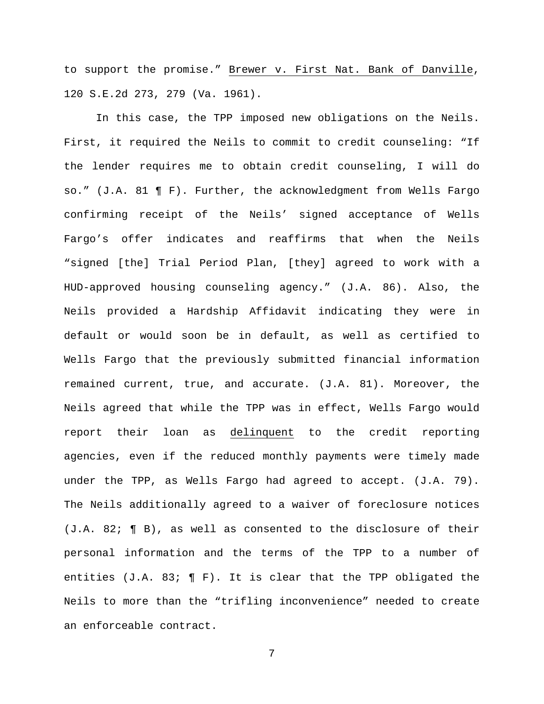to support the promise." Brewer v. First Nat. Bank of Danville, 120 S.E.2d 273, 279 (Va. 1961).

In this case, the TPP imposed new obligations on the Neils. First, it required the Neils to commit to credit counseling: "If the lender requires me to obtain credit counseling, I will do so." (J.A. 81 ¶ F). Further, the acknowledgment from Wells Fargo confirming receipt of the Neils' signed acceptance of Wells Fargo's offer indicates and reaffirms that when the Neils "signed [the] Trial Period Plan, [they] agreed to work with a HUD-approved housing counseling agency." (J.A. 86). Also, the Neils provided a Hardship Affidavit indicating they were in default or would soon be in default, as well as certified to Wells Fargo that the previously submitted financial information remained current, true, and accurate. (J.A. 81). Moreover, the Neils agreed that while the TPP was in effect, Wells Fargo would report their loan as delinquent to the credit reporting agencies, even if the reduced monthly payments were timely made under the TPP, as Wells Fargo had agreed to accept. (J.A. 79). The Neils additionally agreed to a waiver of foreclosure notices (J.A. 82; ¶ B), as well as consented to the disclosure of their personal information and the terms of the TPP to a number of entities  $(J.A. 83; \P F)$ . It is clear that the TPP obligated the Neils to more than the "trifling inconvenience" needed to create an enforceable contract.